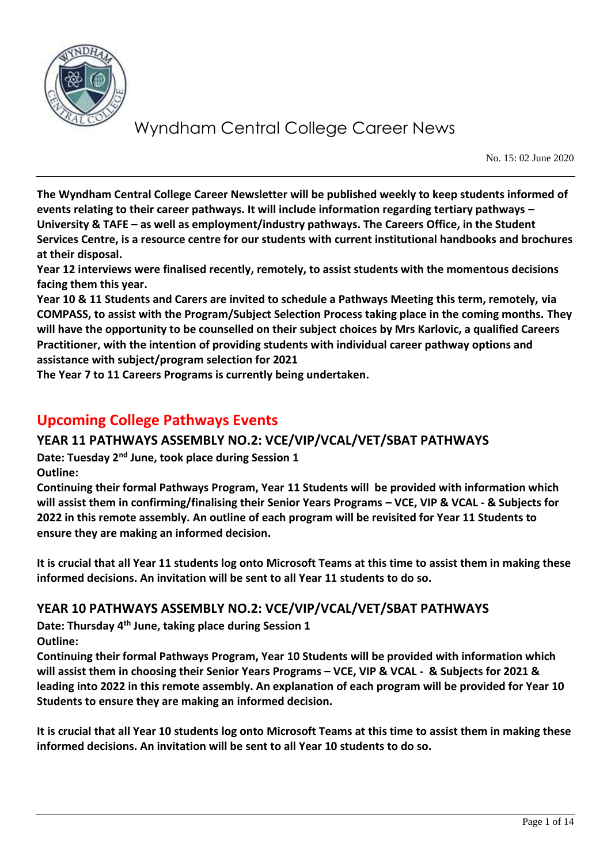

No. 15: 02 June 2020

**The Wyndham Central College Career Newsletter will be published weekly to keep students informed of events relating to their career pathways. It will include information regarding tertiary pathways – University & TAFE – as well as employment/industry pathways. The Careers Office, in the Student Services Centre, is a resource centre for our students with current institutional handbooks and brochures at their disposal.** 

**Year 12 interviews were finalised recently, remotely, to assist students with the momentous decisions facing them this year.** 

**Year 10 & 11 Students and Carers are invited to schedule a Pathways Meeting this term, remotely, via COMPASS, to assist with the Program/Subject Selection Process taking place in the coming months. They will have the opportunity to be counselled on their subject choices by Mrs Karlovic, a qualified Careers Practitioner, with the intention of providing students with individual career pathway options and assistance with subject/program selection for 2021**

**The Year 7 to 11 Careers Programs is currently being undertaken.**

## **Upcoming College Pathways Events**

### **YEAR 11 PATHWAYS ASSEMBLY NO.2: VCE/VIP/VCAL/VET/SBAT PATHWAYS**

**Date: Tuesday 2nd June, took place during Session 1 Outline:**

**Continuing their formal Pathways Program, Year 11 Students will be provided with information which will assist them in confirming/finalising their Senior Years Programs – VCE, VIP & VCAL - & Subjects for 2022 in this remote assembly. An outline of each program will be revisited for Year 11 Students to ensure they are making an informed decision.**

**It is crucial that all Year 11 students log onto Microsoft Teams at this time to assist them in making these informed decisions. An invitation will be sent to all Year 11 students to do so.**

### **YEAR 10 PATHWAYS ASSEMBLY NO.2: VCE/VIP/VCAL/VET/SBAT PATHWAYS**

**Date: Thursday 4th June, taking place during Session 1 Outline:**

**Continuing their formal Pathways Program, Year 10 Students will be provided with information which will assist them in choosing their Senior Years Programs – VCE, VIP & VCAL - & Subjects for 2021 & leading into 2022 in this remote assembly. An explanation of each program will be provided for Year 10 Students to ensure they are making an informed decision.**

**It is crucial that all Year 10 students log onto Microsoft Teams at this time to assist them in making these informed decisions. An invitation will be sent to all Year 10 students to do so.**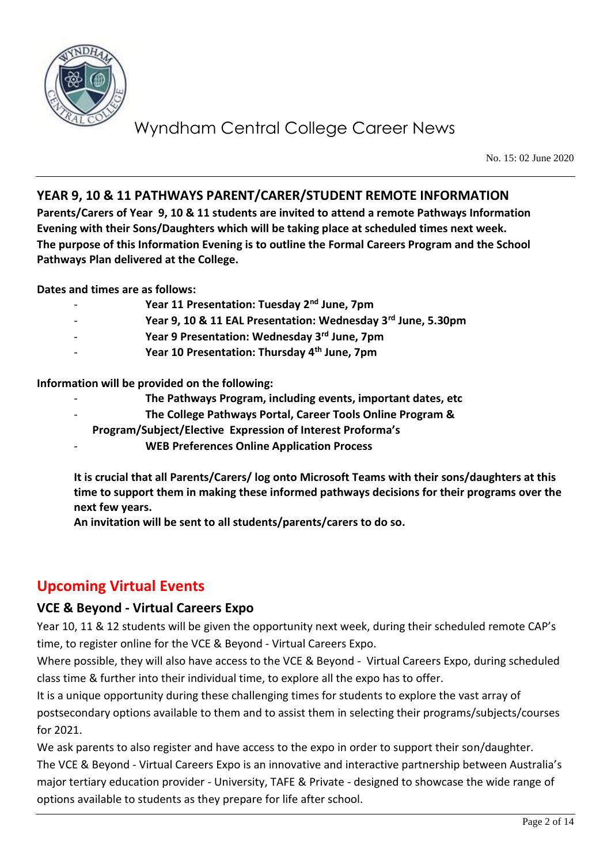

No. 15: 02 June 2020

### **YEAR 9, 10 & 11 PATHWAYS PARENT/CARER/STUDENT REMOTE INFORMATION**

**Parents/Carers of Year 9, 10 & 11 students are invited to attend a remote Pathways Information Evening with their Sons/Daughters which will be taking place at scheduled times next week. The purpose of this Information Evening is to outline the Formal Careers Program and the School Pathways Plan delivered at the College.**

**Dates and times are as follows:**

- **Year 11 Presentation: Tuesday 2nd June, 7pm**
- **Year 9, 10 & 11 EAL Presentation: Wednesday 3rd June, 5.30pm**
- **Year 9 Presentation: Wednesday 3rd June, 7pm**
- **Year 10 Presentation: Thursday 4th June, 7pm**

**Information will be provided on the following:**

- **The Pathways Program, including events, important dates, etc**
	- **The College Pathways Portal, Career Tools Online Program &**
- **Program/Subject/Elective Expression of Interest Proforma's**
- **WEB Preferences Online Application Process**

**It is crucial that all Parents/Carers/ log onto Microsoft Teams with their sons/daughters at this time to support them in making these informed pathways decisions for their programs over the next few years.** 

**An invitation will be sent to all students/parents/carers to do so.**

## **Upcoming Virtual Events**

#### **VCE & Beyond - Virtual Careers Expo**

Year 10, 11 & 12 students will be given the opportunity next week, during their scheduled remote CAP's time, to register online for the VCE & Beyond - Virtual Careers Expo.

Where possible, they will also have access to the VCE & Beyond - Virtual Careers Expo, during scheduled class time & further into their individual time, to explore all the expo has to offer.

It is a unique opportunity during these challenging times for students to explore the vast array of postsecondary options available to them and to assist them in selecting their programs/subjects/courses for 2021.

We ask parents to also register and have access to the expo in order to support their son/daughter. The VCE & Beyond - Virtual Careers Expo is an innovative and interactive partnership between Australia's major tertiary education provider - University, TAFE & Private - designed to showcase the wide range of options available to students as they prepare for life after school.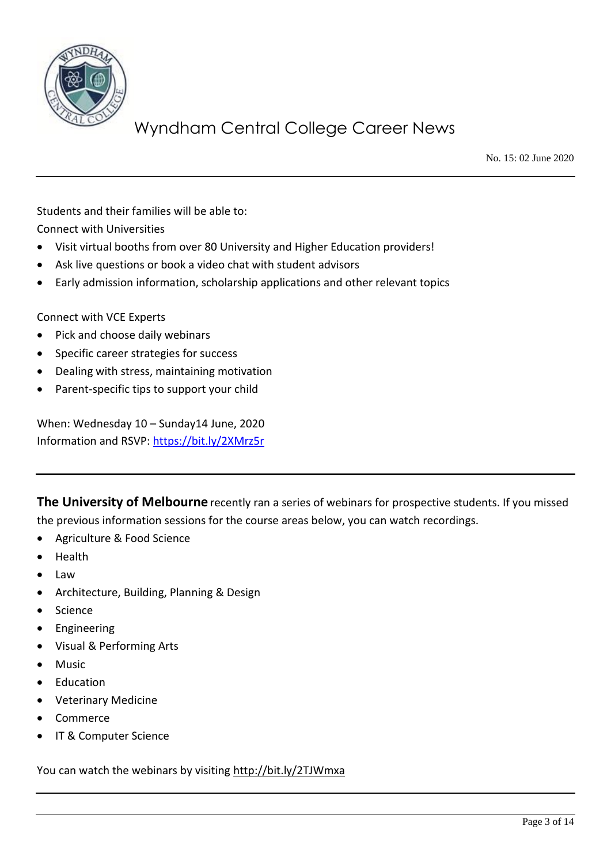

No. 15: 02 June 2020

Students and their families will be able to: Connect with Universities

- Visit virtual booths from over 80 University and Higher Education providers!
- Ask live questions or book a video chat with student advisors
- Early admission information, scholarship applications and other relevant topics

Connect with VCE Experts

- Pick and choose daily webinars
- Specific career strategies for success
- Dealing with stress, maintaining motivation
- Parent-specific tips to support your child

When: Wednesday 10 – Sunday14 June, 2020 Information and RSVP:<https://bit.ly/2XMrz5r>

**The University of Melbourne** recently ran a series of webinars for prospective students. If you missed the previous information sessions for the course areas below, you can watch recordings.

- Agriculture & Food Science
- Health
- Law
- Architecture, Building, Planning & Design
- **Science**
- **Engineering**
- Visual & Performing Arts
- Music
- Education
- Veterinary Medicine
- Commerce
- IT & Computer Science

You can watch the webinars by visiting<http://bit.ly/2TJWmxa>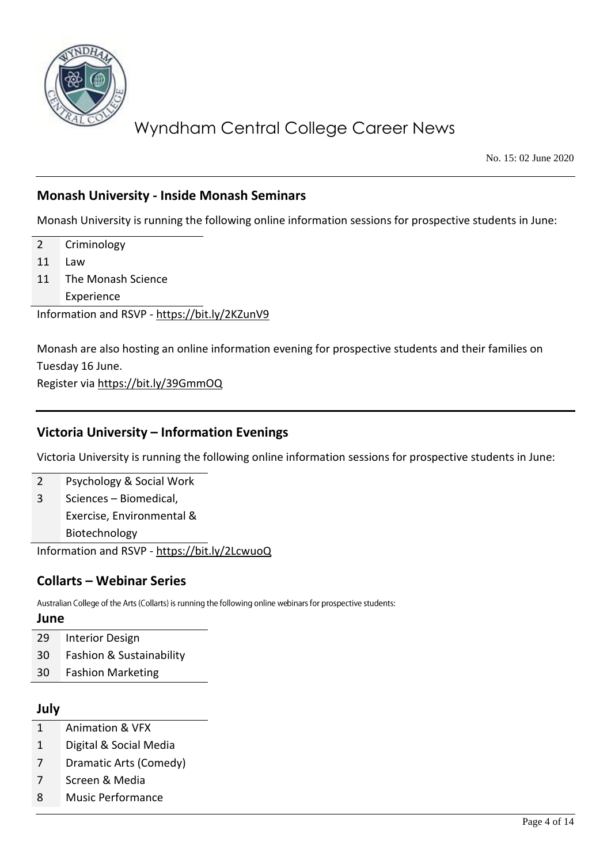

No. 15: 02 June 2020

### **Monash University - Inside Monash Seminars**

Monash University is running the following online information sessions for prospective students in June:

- 2 Criminology
- 11 Law
- 11 The Monash Science Experience

Information and RSVP - <https://bit.ly/2KZunV9>

Monash are also hosting an online information evening for prospective students and their families on Tuesday 16 June.

Register via<https://bit.ly/39GmmOQ>

### **Victoria University – Information Evenings**

Victoria University is running the following online information sessions for prospective students in June:

2 Psychology & Social Work 3 Sciences – Biomedical,

Exercise, Environmental &

Biotechnology

Information and RSVP - <https://bit.ly/2LcwuoQ>

### **Collarts – Webinar Series**

Australian College of the Arts (Collarts) is running the following online webinars for prospective students:

#### **June**

- 29 Interior Design
- 30 Fashion & Sustainability
- 30 Fashion Marketing

#### **July**

- 1 Animation & VFX
- 1 Digital & Social Media
- 7 Dramatic Arts (Comedy)
- 7 Screen & Media
- 8 Music Performance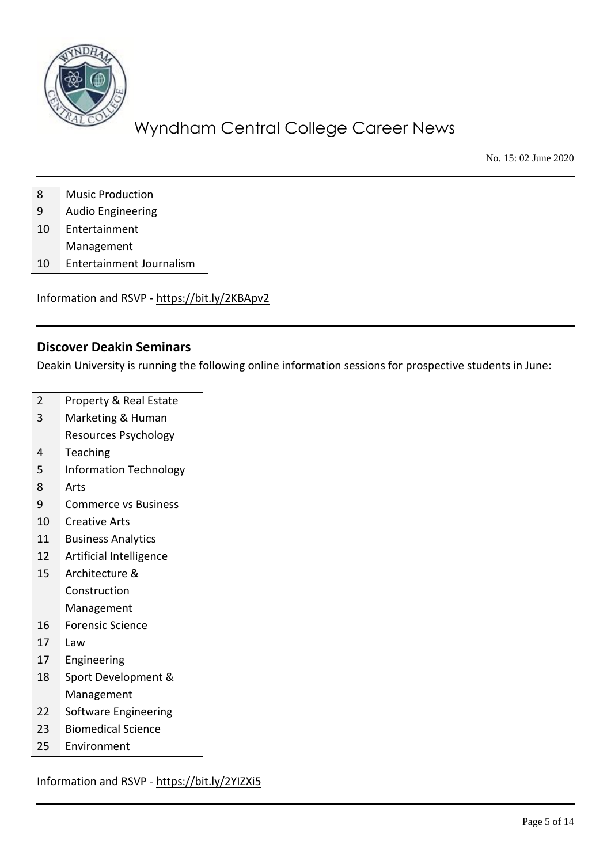

No. 15: 02 June 2020

- Music Production
- Audio Engineering
- Entertainment
- Management
- Entertainment Journalism

Information and RSVP - <https://bit.ly/2KBApv2>

#### **Discover Deakin Seminars**

Deakin University is running the following online information sessions for prospective students in June:

- Property & Real Estate
- Marketing & Human
	- Resources Psychology
- Teaching
- Information Technology
- Arts
- Commerce vs Business
- Creative Arts
- Business Analytics
- Artificial Intelligence
- Architecture & Construction Management
- Forensic Science
- Law
- Engineering
- Sport Development & Management
- Software Engineering
- Biomedical Science
- Environment

Information and RSVP - <https://bit.ly/2YIZXi5>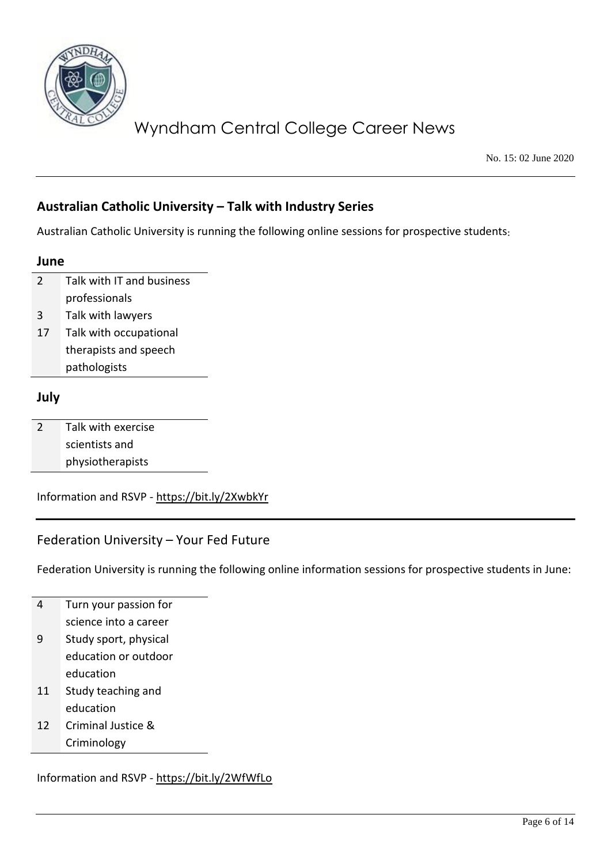

No. 15: 02 June 2020

### **Australian Catholic University – Talk with Industry Series**

Australian Catholic University is running the following online sessions for prospective students

#### **June**

2 Talk with IT and business professionals

- 3 Talk with lawyers
- 17 Talk with occupational therapists and speech pathologists

#### **July**

| 2 | Talk with exercise |
|---|--------------------|
|   | scientists and     |
|   | physiotherapists   |

Information and RSVP - <https://bit.ly/2XwbkYr>

### Federation University – Your Fed Future

Federation University is running the following online information sessions for prospective students in June:

|    | Turn your passion for |
|----|-----------------------|
|    | science into a career |
| 9  | Study sport, physical |
|    | education or outdoor  |
|    | education             |
| 11 | Study teaching and    |
|    | education             |
|    |                       |

12 Criminal Justice & Criminology

Information and RSVP - <https://bit.ly/2WfWfLo>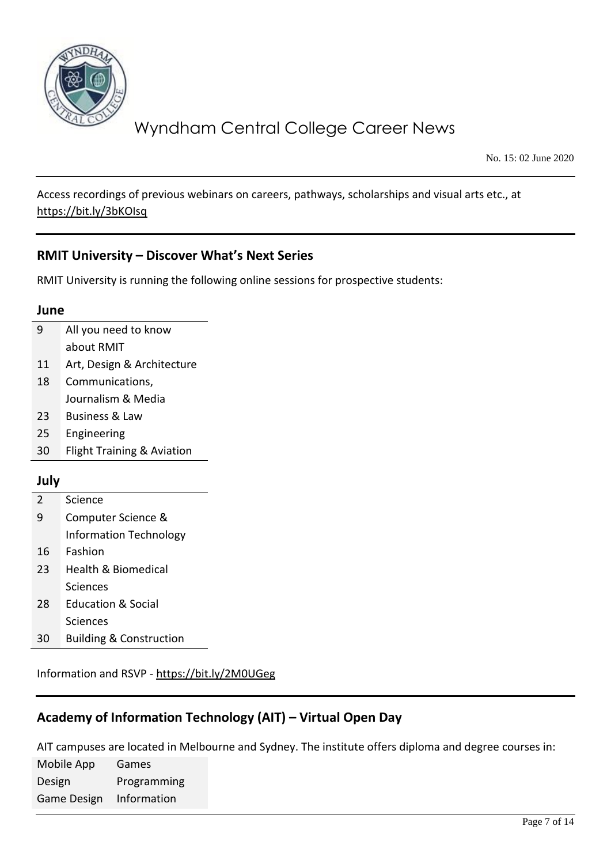

No. 15: 02 June 2020

Access recordings of previous webinars on careers, pathways, scholarships and visual arts etc., at <https://bit.ly/3bKOIsq>

### **RMIT University – Discover What's Next Series**

RMIT University is running the following online sessions for prospective students:

#### **June**

| -9 | All you need to know |
|----|----------------------|
|    | about RMIT           |

- 11 Art, Design & Architecture
- 18 Communications, Journalism & Media
- 23 Business & Law
- 25 Engineering
- 30 Flight Training & Aviation

#### **July**

- 2 Science 9 Computer Science & Information Technology
- 16 Fashion
- 23 Health & Biomedical Sciences
- 28 Education & Social **Sciences**
- 30 Building & Construction

Information and RSVP - <https://bit.ly/2M0UGeg>

### **Academy of Information Technology (AIT) – Virtual Open Day**

AIT campuses are located in Melbourne and Sydney. The institute offers diploma and degree courses in:

Mobile App Design Games Programming Game Design Information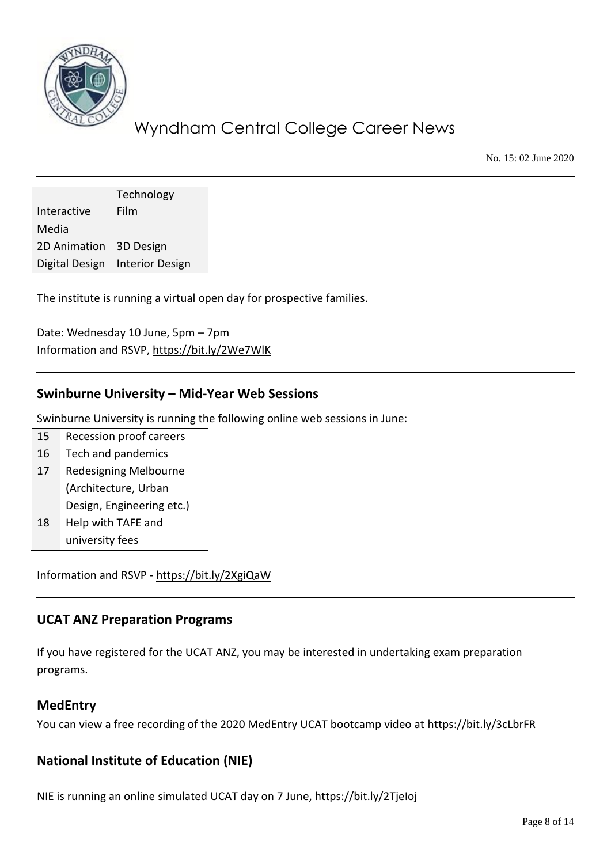

No. 15: 02 June 2020

Technology Interactive Media Film 2D Animation 3D Design Digital Design Interior Design

The institute is running a virtual open day for prospective families.

Date: Wednesday 10 June, 5pm – 7pm Information and RSVP,<https://bit.ly/2We7WlK>

#### **Swinburne University – Mid-Year Web Sessions**

Swinburne University is running the following online web sessions in June:

- 15 Recession proof careers
- 16 Tech and pandemics
- 17 Redesigning Melbourne (Architecture, Urban Design, Engineering etc.)
- 18 Help with TAFE and university fees

Information and RSVP - <https://bit.ly/2XgiQaW>

#### **UCAT ANZ Preparation Programs**

If you have registered for the UCAT ANZ, you may be interested in undertaking exam preparation programs.

#### **MedEntry**

You can view a free recording of the 2020 MedEntry UCAT bootcamp video at<https://bit.ly/3cLbrFR>

### **National Institute of Education (NIE)**

NIE is running an online simulated UCAT day on 7 June,<https://bit.ly/2TjeIoj>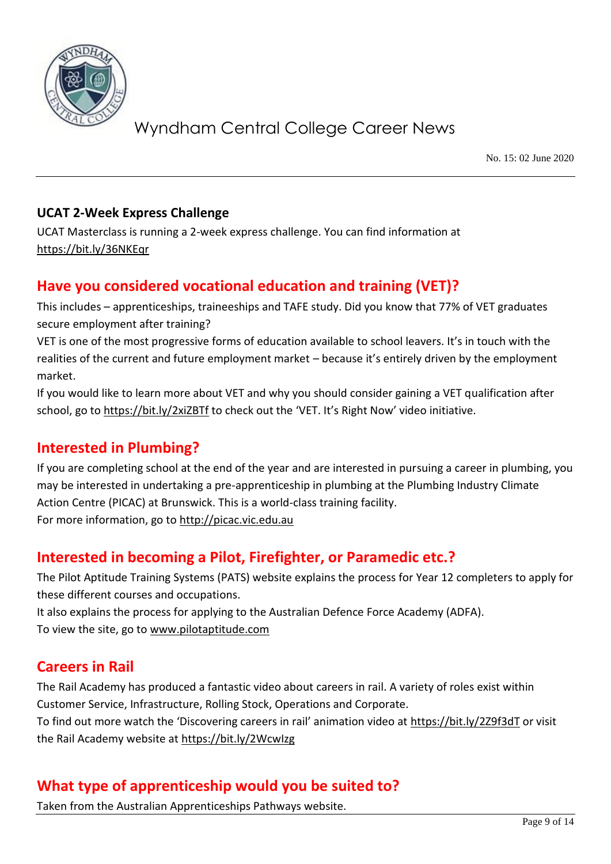

No. 15: 02 June 2020

### **UCAT 2-Week Express Challenge**

UCAT Masterclass is running a 2-week express challenge. You can find information at <https://bit.ly/36NKEqr>

## **Have you considered vocational education and training (VET)?**

This includes – apprenticeships, traineeships and TAFE study. Did you know that 77% of VET graduates secure employment after training?

VET is one of the most progressive forms of education available to school leavers. It's in touch with the realities of the current and future employment market – because it's entirely driven by the employment market.

If you would like to learn more about VET and why you should consider gaining a VET qualification after school, go to<https://bit.ly/2xiZBTf> to check out the 'VET. It's Right Now' video initiative.

## **Interested in Plumbing?**

If you are completing school at the end of the year and are interested in pursuing a career in plumbing, you may be interested in undertaking a pre-apprenticeship in plumbing at the Plumbing Industry Climate Action Centre (PICAC) at Brunswick. This is a world-class training facility. For more information, go to [http://picac.vic.edu.au](http://picac.vic.edu.au/)

# **Interested in becoming a Pilot, Firefighter, or Paramedic etc.?**

The Pilot Aptitude Training Systems (PATS) website explains the process for Year 12 completers to apply for these different courses and occupations.

It also explains the process for applying to the Australian Defence Force Academy (ADFA). To view the site, go to [www.pilotaptitude.com](http://www.pilotaptitude.com/)

## **Careers in Rail**

The Rail Academy has produced a fantastic video about careers in rail. A variety of roles exist within Customer Service, Infrastructure, Rolling Stock, Operations and Corporate. To find out more watch the 'Discovering careers in rail' animation video at <https://bit.ly/2Z9f3dT> or visit the Rail Academy website a[t https://bit.ly/2WcwIzg](https://bit.ly/2WcwIzg)

# **What type of apprenticeship would you be suited to?**

Taken from the Australian Apprenticeships Pathways website.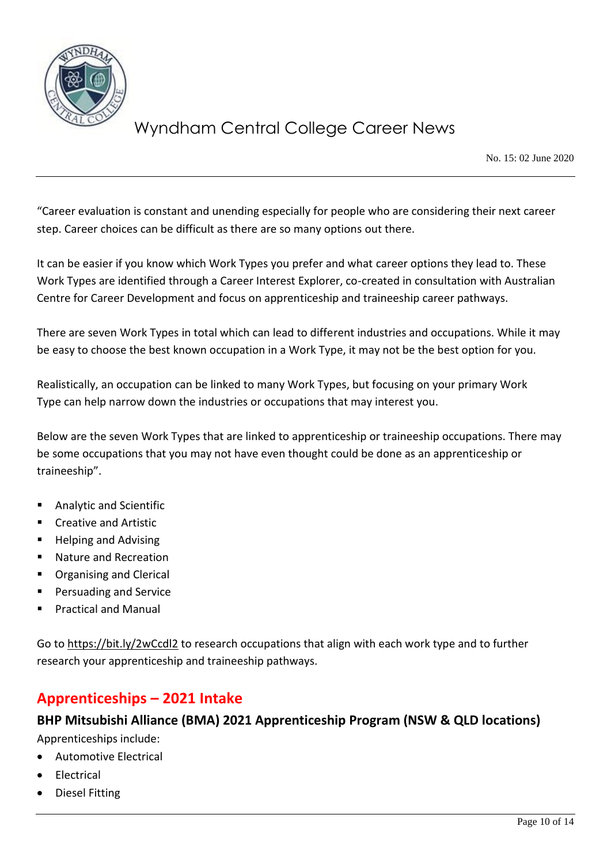

No. 15: 02 June 2020

"Career evaluation is constant and unending especially for people who are considering their next career step. Career choices can be difficult as there are so many options out there.

It can be easier if you know which Work Types you prefer and what career options they lead to. These Work Types are identified through a Career Interest Explorer, co-created in consultation with Australian Centre for Career Development and focus on apprenticeship and traineeship career pathways.

There are seven Work Types in total which can lead to different industries and occupations. While it may be easy to choose the best known occupation in a Work Type, it may not be the best option for you.

Realistically, an occupation can be linked to many Work Types, but focusing on your primary Work Type can help narrow down the industries or occupations that may interest you.

Below are the seven Work Types that are linked to apprenticeship or traineeship occupations. There may be some occupations that you may not have even thought could be done as an apprenticeship or traineeship".

- Analytic and Scientific
- Creative and Artistic
- Helping and Advising
- Nature and Recreation
- Organising and Clerical
- Persuading and Service
- **Practical and Manual**

Go t[o https://bit.ly/2wCcdl2](https://bit.ly/2wCcdl2) to research occupations that align with each work type and to further research your apprenticeship and traineeship pathways.

# **Apprenticeships – 2021 Intake**

## **BHP Mitsubishi Alliance (BMA) 2021 Apprenticeship Program (NSW & QLD locations)**

Apprenticeships include:

- Automotive Electrical
- **Electrical**
- Diesel Fitting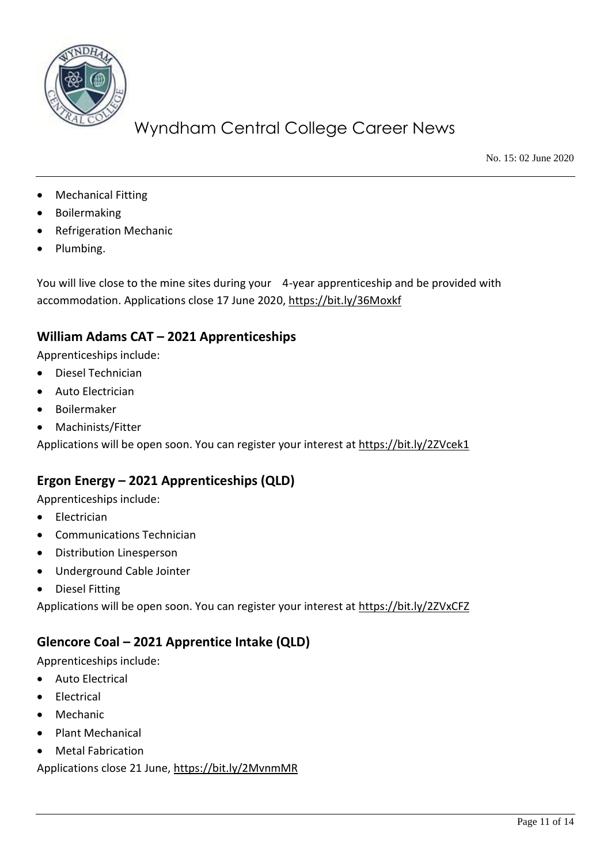

No. 15: 02 June 2020

- **Mechanical Fitting**
- **Boilermaking**
- Refrigeration Mechanic
- Plumbing.

You will live close to the mine sites during your 4-year apprenticeship and be provided with accommodation. Applications close 17 June 2020,<https://bit.ly/36Moxkf>

### **William Adams CAT – 2021 Apprenticeships**

Apprenticeships include:

- Diesel Technician
- Auto Electrician
- Boilermaker
- Machinists/Fitter

Applications will be open soon. You can register your interest at<https://bit.ly/2ZVcek1>

## **Ergon Energy – 2021 Apprenticeships (QLD)**

Apprenticeships include:

- Electrician
- Communications Technician
- Distribution Linesperson
- Underground Cable Jointer
- Diesel Fitting

Applications will be open soon. You can register your interest at<https://bit.ly/2ZVxCFZ>

### **Glencore Coal – 2021 Apprentice Intake (QLD)**

Apprenticeships include:

- Auto Electrical
- **Electrical**
- Mechanic
- Plant Mechanical
- Metal Fabrication

Applications close 21 June,<https://bit.ly/2MvnmMR>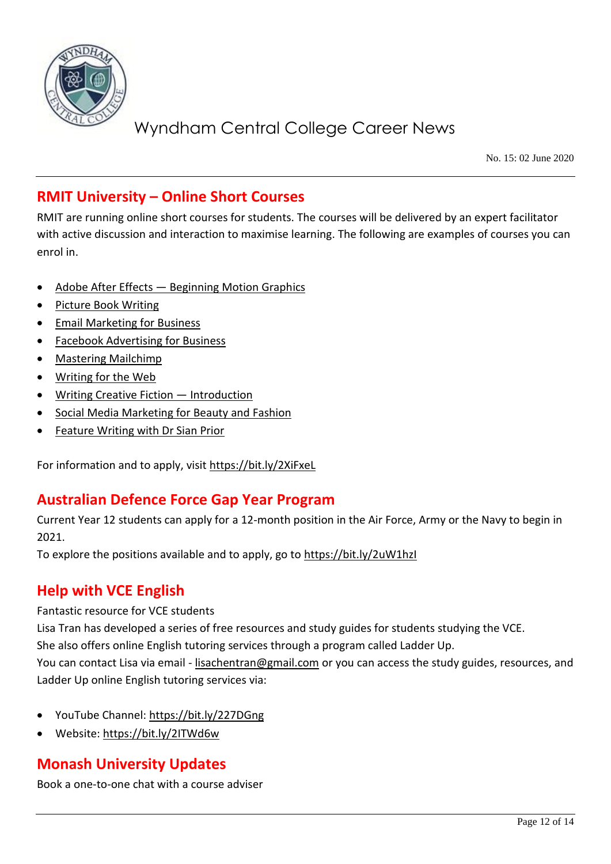

No. 15: 02 June 2020

## **RMIT University – Online Short Courses**

RMIT are running online short courses for students. The courses will be delivered by an expert facilitator with active discussion and interaction to maximise learning. The following are examples of courses you can enrol in.

- Adobe After Effects [Beginning Motion Graphics](https://rmitsingleandshortcoursesprospstudents.createsend1.com/t/r-l-jhulydty-ogtjkher-t/)
- [Picture Book Writing](https://rmitsingleandshortcoursesprospstudents.createsend1.com/t/r-l-jhulydty-ogtjkher-i/)
- [Email Marketing for](https://rmitsingleandshortcoursesprospstudents.createsend1.com/t/r-l-jhulydty-ogtjkher-d/) Business
- [Facebook Advertising for Business](https://rmitsingleandshortcoursesprospstudents.createsend1.com/t/r-l-jhulydty-ogtjkher-h/)
- [Mastering Mailchimp](https://rmitsingleandshortcoursesprospstudents.createsend1.com/t/r-l-jhulydty-ogtjkher-k/)
- [Writing for the Web](https://rmitsingleandshortcoursesprospstudents.createsend1.com/t/r-l-jhulydty-ogtjkher-u/)
- [Writing Creative Fiction](https://rmitsingleandshortcoursesprospstudents.createsend1.com/t/r-l-jhulydty-ogtjkher-o/)  Introduction
- [Social Media Marketing for Beauty and Fashion](https://rmitsingleandshortcoursesprospstudents.createsend1.com/t/r-l-jhulydty-ogtjkher-b/)
- [Feature Writing with Dr Sian Prior](https://rmitsingleandshortcoursesprospstudents.createsend1.com/t/r-l-jhulydty-ogtjkher-n/)

For information and to apply, visit<https://bit.ly/2XiFxeL>

## **Australian Defence Force Gap Year Program**

Current Year 12 students can apply for a 12-month position in the Air Force, Army or the Navy to begin in 2021.

To explore the positions available and to apply, go to https://bit.ly/2uW1hzl

## **Help with VCE English**

Fantastic resource for VCE students

Lisa Tran has developed a series of free resources and study guides for students studying the VCE.

She also offers online English tutoring services through a program called Ladder Up.

You can contact Lisa via email - [lisachentran@gmail.com](mailto:lisachentran@gmail.com) or you can access the study guides, resources, and Ladder Up online English tutoring services via:

- YouTube Channel:<https://bit.ly/227DGng>
- Website:<https://bit.ly/2ITWd6w>

# **Monash University Updates**

Book a one-to-one chat with a course adviser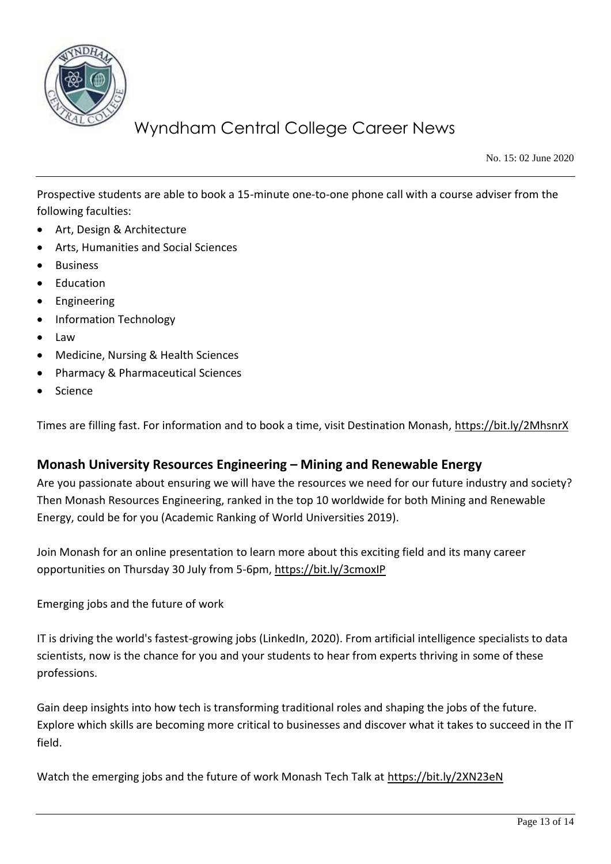

No. 15: 02 June 2020

Prospective students are able to book a 15-minute one-to-one phone call with a course adviser from the following faculties:

- Art, Design & Architecture
- Arts, Humanities and Social Sciences
- **Business**
- **Education**
- **Engineering**
- Information Technology
- Law
- Medicine, Nursing & Health Sciences
- Pharmacy & Pharmaceutical Sciences
- Science

Times are filling fast. For information and to book a time, visit Destination Monash,<https://bit.ly/2MhsnrX>

#### **Monash University Resources Engineering – Mining and Renewable Energy**

Are you passionate about ensuring we will have the resources we need for our future industry and society? Then Monash Resources Engineering, ranked in the top 10 worldwide for both Mining and Renewable Energy, could be for you (Academic Ranking of World Universities 2019).

Join Monash for an online presentation to learn more about this exciting field and its many career opportunities on Thursday 30 July from 5-6pm[, https://bit.ly/3cmoxIP](https://bit.ly/3cmoxIP)

Emerging jobs and the future of work

IT is driving the world's fastest-growing jobs (LinkedIn, 2020). From artificial intelligence specialists to data scientists, now is the chance for you and your students to hear from experts thriving in some of these professions.

Gain deep insights into how tech is transforming traditional roles and shaping the jobs of the future. Explore which skills are becoming more critical to businesses and discover what it takes to succeed in the IT field.

Watch the emerging jobs and the future of work Monash Tech Talk at<https://bit.ly/2XN23eN>